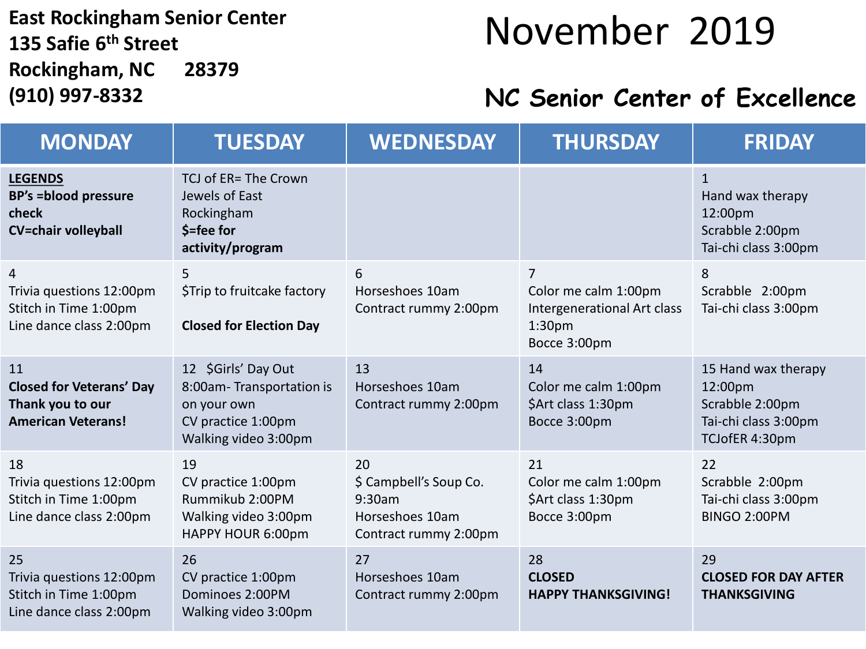### **East Rockingham Senior Center 135 Safie 6 th Street Rockingham, NC 28379**

### November 2019

#### **(910) 997-8332 NC Senior Center of Excellence**

| <b>MONDAY</b>                                                                          | <b>TUESDAY</b>                                                                                               | <b>WEDNESDAY</b>                                                                   | <b>THURSDAY</b>                                                                                | <b>FRIDAY</b>                                                                               |
|----------------------------------------------------------------------------------------|--------------------------------------------------------------------------------------------------------------|------------------------------------------------------------------------------------|------------------------------------------------------------------------------------------------|---------------------------------------------------------------------------------------------|
| <b>LEGENDS</b><br><b>BP's =blood pressure</b><br>check<br><b>CV=chair volleyball</b>   | TCJ of ER= The Crown<br>Jewels of East<br>Rockingham<br>\$=fee for<br>activity/program                       |                                                                                    |                                                                                                | $\mathbf{1}$<br>Hand wax therapy<br>12:00pm<br>Scrabble 2:00pm<br>Tai-chi class 3:00pm      |
| 4<br>Trivia questions 12:00pm<br>Stitch in Time 1:00pm<br>Line dance class 2:00pm      | 5<br>\$Trip to fruitcake factory<br><b>Closed for Election Day</b>                                           | 6<br>Horseshoes 10am<br>Contract rummy 2:00pm                                      | 7<br>Color me calm 1:00pm<br>Intergenerational Art class<br>1:30 <sub>pm</sub><br>Bocce 3:00pm | 8<br>Scrabble 2:00pm<br>Tai-chi class 3:00pm                                                |
| 11<br><b>Closed for Veterans' Day</b><br>Thank you to our<br><b>American Veterans!</b> | 12 \$Girls' Day Out<br>8:00am-Transportation is<br>on your own<br>CV practice 1:00pm<br>Walking video 3:00pm | 13<br>Horseshoes 10am<br>Contract rummy 2:00pm                                     | 14<br>Color me calm 1:00pm<br>\$Art class 1:30pm<br>Bocce 3:00pm                               | 15 Hand wax therapy<br>12:00pm<br>Scrabble 2:00pm<br>Tai-chi class 3:00pm<br>TCJofER 4:30pm |
| 18<br>Trivia questions 12:00pm<br>Stitch in Time 1:00pm<br>Line dance class 2:00pm     | 19<br>CV practice 1:00pm<br>Rummikub 2:00PM<br>Walking video 3:00pm<br>HAPPY HOUR 6:00pm                     | 20<br>\$ Campbell's Soup Co.<br>9:30am<br>Horseshoes 10am<br>Contract rummy 2:00pm | 21<br>Color me calm 1:00pm<br>\$Art class 1:30pm<br>Bocce 3:00pm                               | 22<br>Scrabble 2:00pm<br>Tai-chi class 3:00pm<br>BINGO 2:00PM                               |
| 25<br>Trivia questions 12:00pm<br>Stitch in Time 1:00pm<br>Line dance class 2:00pm     | 26<br>CV practice 1:00pm<br>Dominoes 2:00PM<br>Walking video 3:00pm                                          | 27<br>Horseshoes 10am<br>Contract rummy 2:00pm                                     | 28<br><b>CLOSED</b><br><b>HAPPY THANKSGIVING!</b>                                              | 29<br><b>CLOSED FOR DAY AFTER</b><br><b>THANKSGIVING</b>                                    |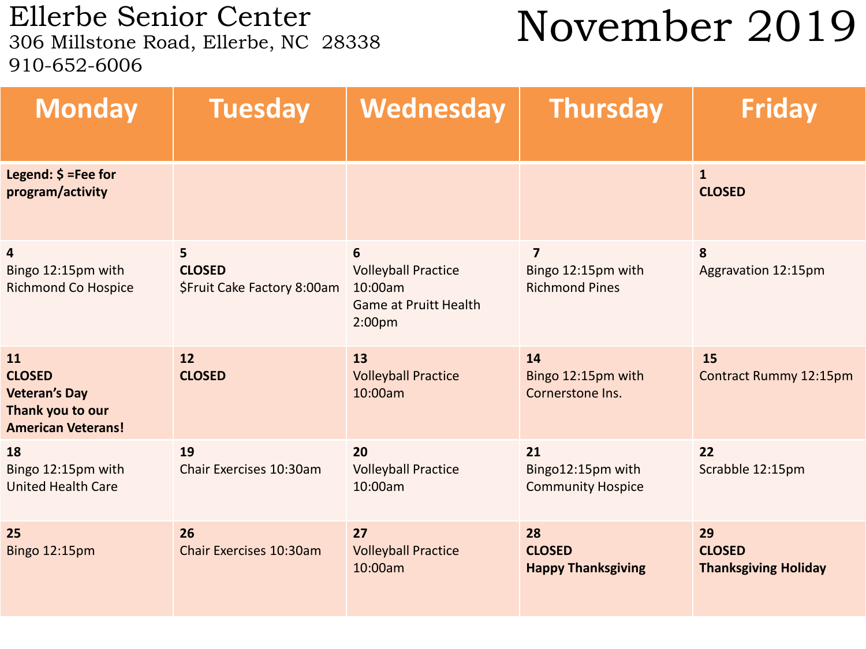Ellerbe Senior Center<br>306 Millstone Road, Ellerbe, NC 28338 910-652-6006

## November 2019

| <b>Monday</b>                                                                                | <b>Tuesday</b>                                    | Wednesday                                                                                         | <b>Thursday</b>                                               | <b>Friday</b>                                      |
|----------------------------------------------------------------------------------------------|---------------------------------------------------|---------------------------------------------------------------------------------------------------|---------------------------------------------------------------|----------------------------------------------------|
| Legend: $$ =$ Fee for<br>program/activity                                                    |                                                   |                                                                                                   |                                                               | $\mathbf{1}$<br><b>CLOSED</b>                      |
| 4<br>Bingo 12:15pm with<br><b>Richmond Co Hospice</b>                                        | 5<br><b>CLOSED</b><br>\$Fruit Cake Factory 8:00am | 6<br><b>Volleyball Practice</b><br>10:00am<br><b>Game at Pruitt Health</b><br>2:00 <sub>p</sub> m | $\overline{7}$<br>Bingo 12:15pm with<br><b>Richmond Pines</b> | 8<br>Aggravation 12:15pm                           |
| 11<br><b>CLOSED</b><br><b>Veteran's Day</b><br>Thank you to our<br><b>American Veterans!</b> | 12<br><b>CLOSED</b>                               | 13<br><b>Volleyball Practice</b><br>10:00am                                                       | 14<br>Bingo 12:15pm with<br>Cornerstone Ins.                  | 15<br><b>Contract Rummy 12:15pm</b>                |
| 18<br>Bingo 12:15pm with<br><b>United Health Care</b>                                        | 19<br>Chair Exercises 10:30am                     | 20<br><b>Volleyball Practice</b><br>10:00am                                                       | 21<br>Bingo12:15pm with<br><b>Community Hospice</b>           | 22<br>Scrabble 12:15pm                             |
| 25<br>Bingo 12:15pm                                                                          | 26<br>Chair Exercises 10:30am                     | 27<br><b>Volleyball Practice</b><br>10:00am                                                       | 28<br><b>CLOSED</b><br><b>Happy Thanksgiving</b>              | 29<br><b>CLOSED</b><br><b>Thanksgiving Holiday</b> |